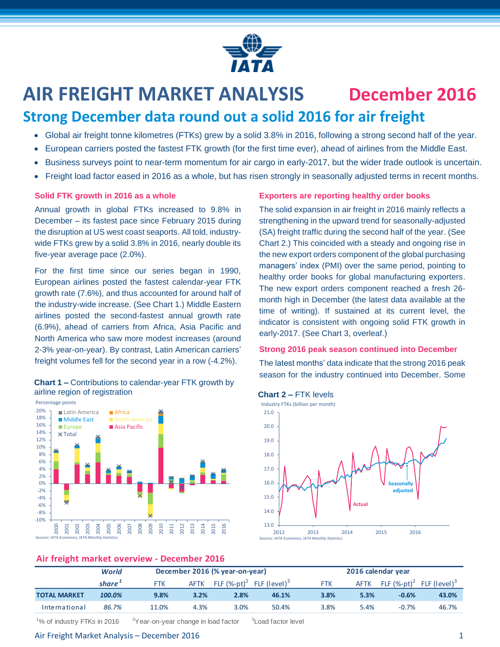

# **AIR FREIGHT MARKET ANALYSIS December 2016**

## **Strong December data round out a solid 2016 for air freight**

- Global air freight tonne kilometres (FTKs) grew by a solid 3.8% in 2016, following a strong second half of the year.
- European carriers posted the fastest FTK growth (for the first time ever), ahead of airlines from the Middle East.
- Business surveys point to near-term momentum for air cargo in early-2017, but the wider trade outlook is uncertain.
- Freight load factor eased in 2016 as a whole, but has risen strongly in seasonally adjusted terms in recent months.

### **Solid FTK growth in 2016 as a whole**

Annual growth in global FTKs increased to 9.8% in December – its fastest pace since February 2015 during the disruption at US west coast seaports. All told, industrywide FTKs grew by a solid 3.8% in 2016, nearly double its five-year average pace (2.0%).

For the first time since our series began in 1990, European airlines posted the fastest calendar-year FTK growth rate (7.6%), and thus accounted for around half of the industry-wide increase. (See Chart 1.) Middle Eastern airlines posted the second-fastest annual growth rate (6.9%), ahead of carriers from Africa, Asia Pacific and North America who saw more modest increases (around 2-3% year-on-year). By contrast, Latin American carriers' freight volumes fell for the second year in a row (-4.2%).

### **Chart 1 –** Contributions to calendar-year FTK growth by airline region of registration



### **Exporters are reporting healthy order books**

The solid expansion in air freight in 2016 mainly reflects a strengthening in the upward trend for seasonally-adjusted (SA) freight traffic during the second half of the year. (See Chart 2.) This coincided with a steady and ongoing rise in the new export orders component of the global purchasing managers' index (PMI) over the same period, pointing to healthy order books for global manufacturing exporters. The new export orders component reached a fresh 26 month high in December (the latest data available at the time of writing). If sustained at its current level, the indicator is consistent with ongoing solid FTK growth in early-2017. (See Chart 3, overleaf.)

### **Strong 2016 peak season continued into December**

The latest months' data indicate that the strong 2016 peak season for the industry continued into December. Some

### **Chart 2 –** FTK levels



### **Air freight market overview - December 2016**

|                     | World  |            | December 2016 (% year-on-year) |                             |                          |            | 2016 calendar year |                |                          |  |
|---------------------|--------|------------|--------------------------------|-----------------------------|--------------------------|------------|--------------------|----------------|--------------------------|--|
|                     | share' | <b>FTK</b> | <b>AFTK</b>                    | FLF $(\%$ -pt) <sup>2</sup> | FLF (level) <sup>3</sup> | <b>FTK</b> | <b>AFTK</b>        | FLF $(%-pt)^2$ | FLF (level) <sup>3</sup> |  |
| <b>TOTAL MARKET</b> | 100.0% | 9.8%       | 3.2%                           | 2.8%                        | 46.1%                    | 3.8%       | 5.3%               | $-0.6%$        | 43.0%                    |  |
| International       | 86.7%  | 11.0%      | 4.3%                           | 3.0%                        | 50.4%                    | 3.8%       | 5.4%               | $-0.7%$        | 46.7%                    |  |

<sup>1</sup>% of industry FTKs in 2016  $2^2$ Year-on-year change in load factor <sup>3</sup> Load factor level

### Air Freight Market Analysis – December 2016 1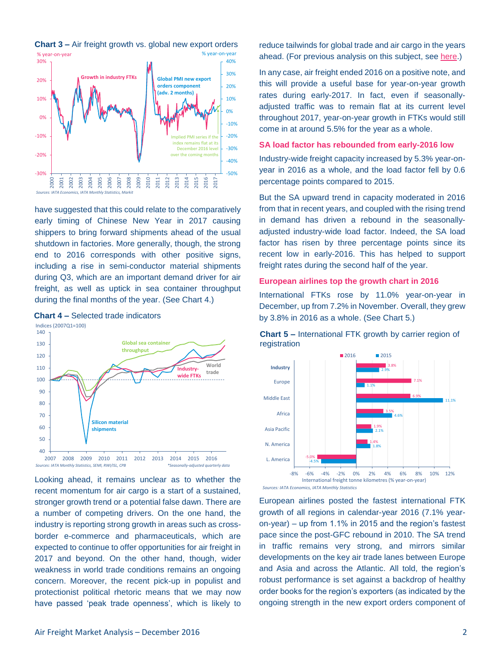

**Chart 3 –** Air freight growth vs. global new export orders

% year-on-year % year-on-year

have suggested that this could relate to the comparatively early timing of Chinese New Year in 2017 causing shippers to bring forward shipments ahead of the usual shutdown in factories. More generally, though, the strong end to 2016 corresponds with other positive signs, including a rise in semi-conductor material shipments during Q3, which are an important demand driver for air freight, as well as uptick in sea container throughput

during the final months of the year. (See Chart 4.)



Looking ahead, it remains unclear as to whether the recent momentum for air cargo is a start of a sustained, stronger growth trend or a potential false dawn. There are a number of competing drivers. On the one hand, the industry is reporting strong growth in areas such as crossborder e-commerce and pharmaceuticals, which are expected to continue to offer opportunities for air freight in 2017 and beyond. On the other hand, though, wider weakness in world trade conditions remains an ongoing concern. Moreover, the recent pick-up in populist and protectionist political rhetoric means that we may now have passed 'peak trade openness', which is likely to reduce tailwinds for global trade and air cargo in the years ahead. (For previous analysis on this subject, see [here.](http://www.iata.org/publications/economics/Documents/chart-of-the-week-9-sep-2016.pdf))

In any case, air freight ended 2016 on a positive note, and this will provide a useful base for year-on-year growth rates during early-2017. In fact, even if seasonallyadjusted traffic was to remain flat at its current level throughout 2017, year-on-year growth in FTKs would still come in at around 5.5% for the year as a whole.

### **SA load factor has rebounded from early-2016 low**

Industry-wide freight capacity increased by 5.3% year-onyear in 2016 as a whole, and the load factor fell by 0.6 percentage points compared to 2015.

But the SA upward trend in capacity moderated in 2016 from that in recent years, and coupled with the rising trend in demand has driven a rebound in the seasonallyadjusted industry-wide load factor. Indeed, the SA load factor has risen by three percentage points since its recent low in early-2016. This has helped to support freight rates during the second half of the year.

### **European airlines top the growth chart in 2016**

International FTKs rose by 11.0% year-on-year in December, up from 7.2% in November. Overall, they grew by 3.8% in 2016 as a whole. (See Chart 5.)

### **Chart 5 –** International FTK growth by carrier region of registration



European airlines posted the fastest international FTK growth of all regions in calendar-year 2016 (7.1% yearon-year) – up from 1.1% in 2015 and the region's fastest pace since the post-GFC rebound in 2010. The SA trend in traffic remains very strong, and mirrors similar developments on the key air trade lanes between Europe and Asia and across the Atlantic. All told, the region's robust performance is set against a backdrop of healthy order books for the region's exporters (as indicated by the ongoing strength in the new export orders component of

**Chart 4 –** Selected trade indicators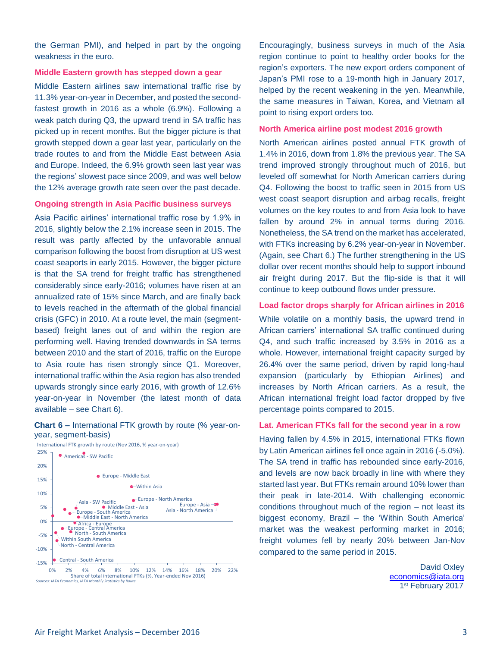the German PMI), and helped in part by the ongoing weakness in the euro.

### **Middle Eastern growth has stepped down a gear**

Middle Eastern airlines saw international traffic rise by 11.3% year-on-year in December, and posted the secondfastest growth in 2016 as a whole (6.9%). Following a weak patch during Q3, the upward trend in SA traffic has picked up in recent months. But the bigger picture is that growth stepped down a gear last year, particularly on the trade routes to and from the Middle East between Asia and Europe. Indeed, the 6.9% growth seen last year was the regions' slowest pace since 2009, and was well below the 12% average growth rate seen over the past decade.

### **Ongoing strength in Asia Pacific business surveys**

Asia Pacific airlines' international traffic rose by 1.9% in 2016, slightly below the 2.1% increase seen in 2015. The result was partly affected by the unfavorable annual comparison following the boost from disruption at US west coast seaports in early 2015. However, the bigger picture is that the SA trend for freight traffic has strengthened considerably since early-2016; volumes have risen at an annualized rate of 15% since March, and are finally back to levels reached in the aftermath of the global financial crisis (GFC) in 2010. At a route level, the main (segmentbased) freight lanes out of and within the region are performing well. Having trended downwards in SA terms between 2010 and the start of 2016, traffic on the Europe to Asia route has risen strongly since Q1. Moreover, international traffic within the Asia region has also trended upwards strongly since early 2016, with growth of 12.6% year-on-year in November (the latest month of data available – see Chart 6).

### **Chart 6 –** International FTK growth by route (% year-onyear, segment-basis)



Encouragingly, business surveys in much of the Asia region continue to point to healthy order books for the region's exporters. The new export orders component of Japan's PMI rose to a 19-month high in January 2017, helped by the recent weakening in the yen. Meanwhile, the same measures in Taiwan, Korea, and Vietnam all point to rising export orders too.

### **North America airline post modest 2016 growth**

North American airlines posted annual FTK growth of 1.4% in 2016, down from 1.8% the previous year. The SA trend improved strongly throughout much of 2016, but leveled off somewhat for North American carriers during Q4. Following the boost to traffic seen in 2015 from US west coast seaport disruption and airbag recalls, freight volumes on the key routes to and from Asia look to have fallen by around 2% in annual terms during 2016. Nonetheless, the SA trend on the market has accelerated, with FTKs increasing by 6.2% year-on-year in November. (Again, see Chart 6.) The further strengthening in the US dollar over recent months should help to support inbound air freight during 2017. But the flip-side is that it will continue to keep outbound flows under pressure.

### **Load factor drops sharply for African airlines in 2016**

While volatile on a monthly basis, the upward trend in African carriers' international SA traffic continued during Q4, and such traffic increased by 3.5% in 2016 as a whole. However, international freight capacity surged by 26.4% over the same period, driven by rapid long-haul expansion (particularly by Ethiopian Airlines) and increases by North African carriers. As a result, the African international freight load factor dropped by five percentage points compared to 2015.

### **Lat. American FTKs fall for the second year in a row**

Having fallen by 4.5% in 2015, international FTKs flown by Latin American airlines fell once again in 2016 (-5.0%). The SA trend in traffic has rebounded since early-2016, and levels are now back broadly in line with where they started last year. But FTKs remain around 10% lower than their peak in late-2014. With challenging economic conditions throughout much of the region – not least its biggest economy, Brazil – the 'Within South America' market was the weakest performing market in 2016; freight volumes fell by nearly 20% between Jan-Nov compared to the same period in 2015.

> David Oxley [economics@iata.org](mailto:economics@iata.org) 1st February 2017